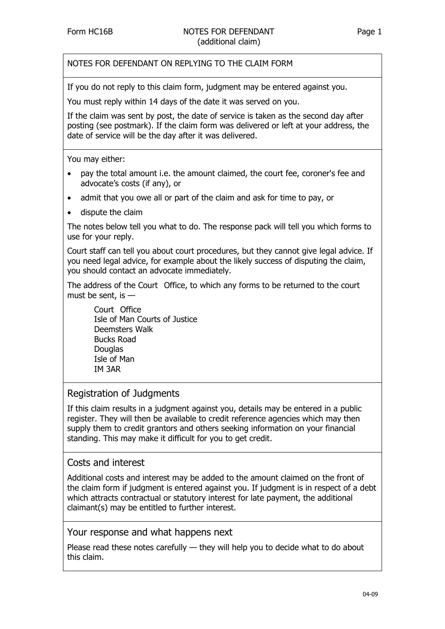NOTES FOR DEFENDANT ON REPLYING TO THE CLAIM FORM

If you do not reply to this claim form, judgment may be entered against you.

You must reply within 14 days of the date it was served on you.

If the claim was sent by post, the date of service is taken as the second day after posting (see postmark). If the claim form was delivered or left at your address, the date of service will be the day after it was delivered.

You may either:

- pay the total amount i.e. the amount claimed, the court fee, coroner's fee and advocate's costs (if any), or
- admit that you owe all or part of the claim and ask for time to pay, or
- dispute the claim

The notes below tell you what to do. The response pack will tell you which forms to use for your reply.

Court staff can tell you about court procedures, but they cannot give legal advice. If you need legal advice, for example about the likely success of disputing the claim, you should contact an advocate immediately.

The address of the Court Office, to which any forms to be returned to the court must be sent, is  $-$ 

Court Office Isle of Man Courts of Justice Deemsters Walk Bucks Road Douglas Isle of Man IM 3AR

#### Registration of Judgments

If this claim results in a judgment against you, details may be entered in a public register. They will then be available to credit reference agencies which may then supply them to credit grantors and others seeking information on your financial standing. This may make it difficult for you to get credit.

#### Costs and interest

Additional costs and interest may be added to the amount claimed on the front of the claim form if judgment is entered against you. If judgment is in respect of a debt which attracts contractual or statutory interest for late payment, the additional claimant(s) may be entitled to further interest.

Your response and what happens next

Please read these notes carefully — they will help you to decide what to do about this claim.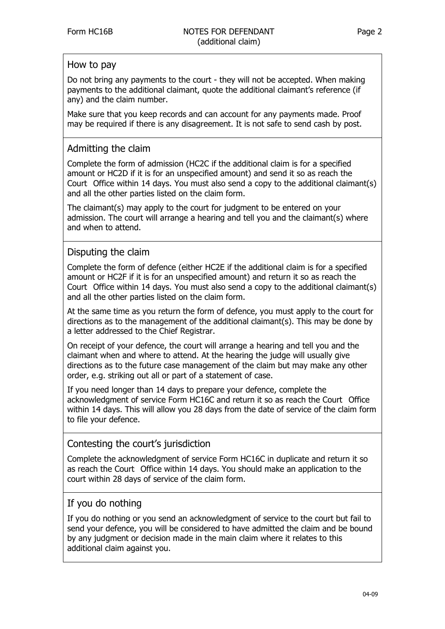### How to pay

Do not bring any payments to the court - they will not be accepted. When making payments to the additional claimant, quote the additional claimant's reference (if any) and the claim number.

Make sure that you keep records and can account for any payments made. Proof may be required if there is any disagreement. It is not safe to send cash by post.

## Admitting the claim

Complete the form of admission (HC2C if the additional claim is for a specified amount or HC2D if it is for an unspecified amount) and send it so as reach the Court Office within 14 days. You must also send a copy to the additional claimant(s) and all the other parties listed on the claim form.

The claimant(s) may apply to the court for judgment to be entered on your admission. The court will arrange a hearing and tell you and the claimant(s) where and when to attend.

## Disputing the claim

Complete the form of defence (either HC2E if the additional claim is for a specified amount or HC2F if it is for an unspecified amount) and return it so as reach the Court Office within 14 days. You must also send a copy to the additional claimant(s) and all the other parties listed on the claim form.

At the same time as you return the form of defence, you must apply to the court for directions as to the management of the additional claimant(s). This may be done by a letter addressed to the Chief Registrar.

On receipt of your defence, the court will arrange a hearing and tell you and the claimant when and where to attend. At the hearing the judge will usually give directions as to the future case management of the claim but may make any other order, e.g. striking out all or part of a statement of case.

If you need longer than 14 days to prepare your defence, complete the acknowledgment of service Form HC16C and return it so as reach the Court Office within 14 days. This will allow you 28 days from the date of service of the claim form to file your defence.

### Contesting the court's jurisdiction

Complete the acknowledgment of service Form HC16C in duplicate and return it so as reach the Court Office within 14 days. You should make an application to the court within 28 days of service of the claim form.

# If you do nothing

If you do nothing or you send an acknowledgment of service to the court but fail to send your defence, you will be considered to have admitted the claim and be bound by any judgment or decision made in the main claim where it relates to this additional claim against you.